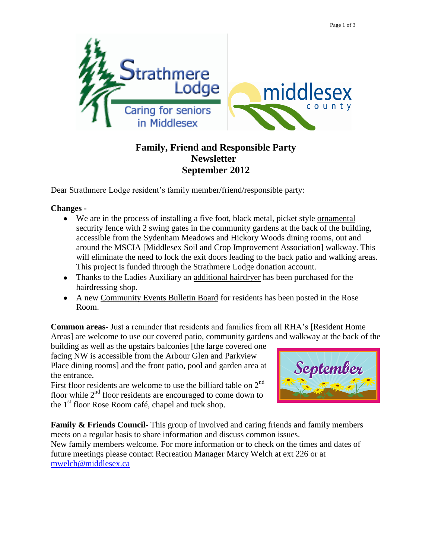

## **Family, Friend and Responsible Party Newsletter September 2012**

Dear Strathmere Lodge resident's family member/friend/responsible party:

**Changes -**

- We are in the process of installing a five foot, black metal, picket style ornamental security fence with 2 swing gates in the community gardens at the back of the building, accessible from the Sydenham Meadows and Hickory Woods dining rooms, out and around the MSCIA [Middlesex Soil and Crop Improvement Association] walkway. This will eliminate the need to lock the exit doors leading to the back patio and walking areas. This project is funded through the Strathmere Lodge donation account.
- Thanks to the Ladies Auxiliary an additional hairdryer has been purchased for the hairdressing shop.
- A new Community Events Bulletin Board for residents has been posted in the Rose Room.

**Common areas**- Just a reminder that residents and families from all RHA's [Resident Home Areas] are welcome to use our covered patio, community gardens and walkway at the back of the

building as well as the upstairs balconies [the large covered one facing NW is accessible from the Arbour Glen and Parkview Place dining rooms] and the front patio, pool and garden area at the entrance.

First floor residents are welcome to use the billiard table on  $2<sup>nd</sup>$ floor while  $2<sup>nd</sup>$  floor residents are encouraged to come down to the  $1<sup>st</sup>$  floor Rose Room café, chapel and tuck shop.



**Family & Friends Council-** This group of involved and caring friends and family members meets on a regular basis to share information and discuss common issues. New family members welcome. For more information or to check on the times and dates of future meetings please contact Recreation Manager Marcy Welch at ext 226 or at [mwelch@middlesex.ca](mailto:mwelch@middlesex.ca)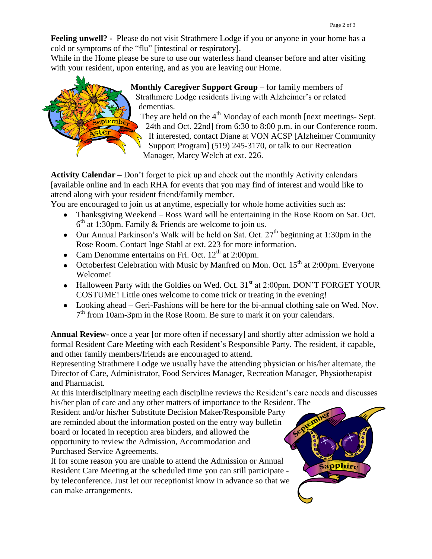Sapphire

**Feeling unwell? -** Please do not visit Strathmere Lodge if you or anyone in your home has a cold or symptoms of the "flu" [intestinal or respiratory].

While in the Home please be sure to use our waterless hand cleanser before and after visiting with your resident, upon entering, and as you are leaving our Home.



**Monthly Caregiver Support Group** – for family members of Strathmere Lodge residents living with Alzheimer's or related dementias.

They are held on the  $4<sup>th</sup>$  Monday of each month [next meetings- Sept. 24th and Oct. 22nd] from 6:30 to 8:00 p.m. in our Conference room. If interested, contact Diane at VON ACSP [Alzheimer Community Support Program] (519) 245-3170, or talk to our Recreation

Manager, Marcy Welch at ext. 226.

**Activity Calendar –** Don't forget to pick up and check out the monthly Activity calendars [available online and in each RHA for events that you may find of interest and would like to attend along with your resident friend/family member.

You are encouraged to join us at anytime, especially for whole home activities such as:

- Thanksgiving Weekend Ross Ward will be entertaining in the Rose Room on Sat. Oct.  $6<sup>th</sup>$  at 1:30pm. Family & Friends are welcome to join us.
- Our Annual Parkinson's Walk will be held on Sat. Oct.  $27<sup>th</sup>$  beginning at 1:30pm in the Rose Room. Contact Inge Stahl at ext. 223 for more information.
- Cam Denomme entertains on Fri. Oct.  $12<sup>th</sup>$  at 2:00pm.
- Octoberfest Celebration with Music by Manfred on Mon. Oct.  $15<sup>th</sup>$  at 2:00pm. Everyone Welcome!
- Halloween Party with the Goldies on Wed. Oct.  $31<sup>st</sup>$  at 2:00pm. DON'T FORGET YOUR COSTUME! Little ones welcome to come trick or treating in the evening!
- Looking ahead Geri-Fashions will be here for the bi-annual clothing sale on Wed. Nov. 7<sup>th</sup> from 10am-3pm in the Rose Room. Be sure to mark it on your calendars.

**Annual Review-** once a year [or more often if necessary] and shortly after admission we hold a formal Resident Care Meeting with each Resident's Responsible Party. The resident, if capable, and other family members/friends are encouraged to attend.

Representing Strathmere Lodge we usually have the attending physician or his/her alternate, the Director of Care, Administrator, Food Services Manager, Recreation Manager, Physiotherapist and Pharmacist.

At this interdisciplinary meeting each discipline reviews the Resident's care needs and discusses his/her plan of care and any other matters of importance to the Resident. The

Resident and/or his/her Substitute Decision Maker/Responsible Party are reminded about the information posted on the entry way bulletin board or located in reception area binders, and allowed the opportunity to review the Admission, Accommodation and Purchased Service Agreements.

If for some reason you are unable to attend the Admission or Annual Resident Care Meeting at the scheduled time you can still participate by teleconference. Just let our receptionist know in advance so that we can make arrangements.